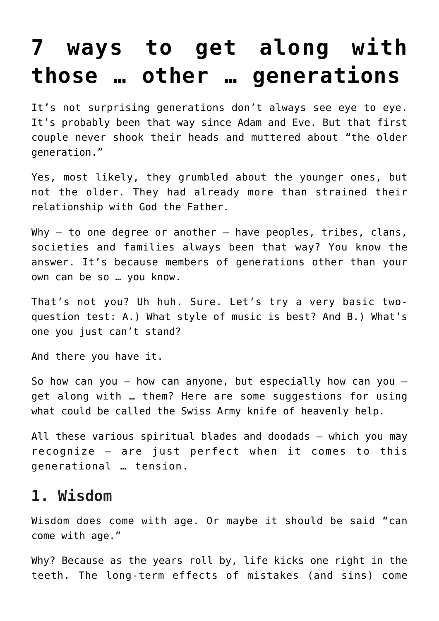# **[7 ways to get along with](https://www.osvnews.com/2022/06/10/7-ways-to-get-along-with-those-other-generations/) [those … other … generations](https://www.osvnews.com/2022/06/10/7-ways-to-get-along-with-those-other-generations/)**

It's not surprising generations don't always see eye to eye. It's probably been that way since Adam and Eve. But that first couple never shook their heads and muttered about "the older generation."

Yes, most likely, they grumbled about the younger ones, but not the older. They had already more than strained their relationship with God the Father.

Why  $-$  to one degree or another  $-$  have peoples, tribes, clans, societies and families always been that way? You know the answer. It's because members of generations other than your own can be so … you know.

That's not you? Uh huh. Sure. Let's try a very basic twoquestion test: A.) What style of music is best? And B.) What's one you just can't stand?

And there you have it.

So how can you  $-$  how can anyone, but especially how can you  $$ get along with … them? Here are some suggestions for using what could be called the Swiss Army knife of heavenly help.

All these various spiritual blades and doodads — which you may recognize — are just perfect when it comes to this generational … tension.

#### **1. Wisdom**

Wisdom does come with age. Or maybe it should be said "can come with age."

Why? Because as the years roll by, life kicks one right in the teeth. The long-term effects of mistakes (and sins) come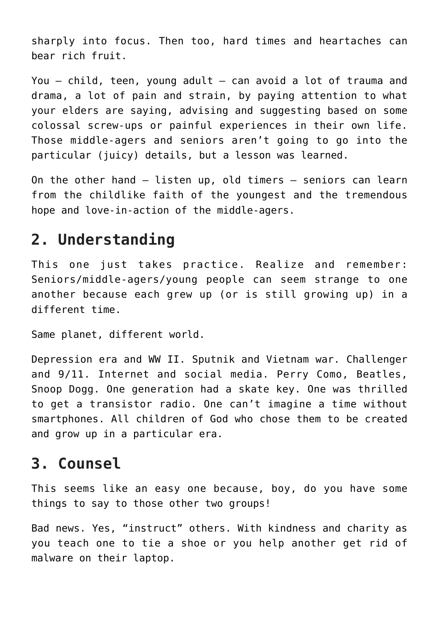sharply into focus. Then too, hard times and heartaches can bear rich fruit.

You — child, teen, young adult — can avoid a lot of trauma and drama, a lot of pain and strain, by paying attention to what your elders are saying, advising and suggesting based on some colossal screw-ups or painful experiences in their own life. Those middle-agers and seniors aren't going to go into the particular (juicy) details, but a lesson was learned.

On the other hand — listen up, old timers — seniors can learn from the childlike faith of the youngest and the tremendous hope and love-in-action of the middle-agers.

### **2. Understanding**

This one just takes practice. Realize and remember: Seniors/middle-agers/young people can seem strange to one another because each grew up (or is still growing up) in a different time.

Same planet, different world.

Depression era and WW II. Sputnik and Vietnam war. Challenger and 9/11. Internet and social media. Perry Como, Beatles, Snoop Dogg. One generation had a skate key. One was thrilled to get a transistor radio. One can't imagine a time without smartphones. All children of God who chose them to be created and grow up in a particular era.

### **3. Counsel**

This seems like an easy one because, boy, do you have some things to say to those other two groups!

Bad news. Yes, "instruct" others. With kindness and charity as you teach one to tie a shoe or you help another get rid of malware on their laptop.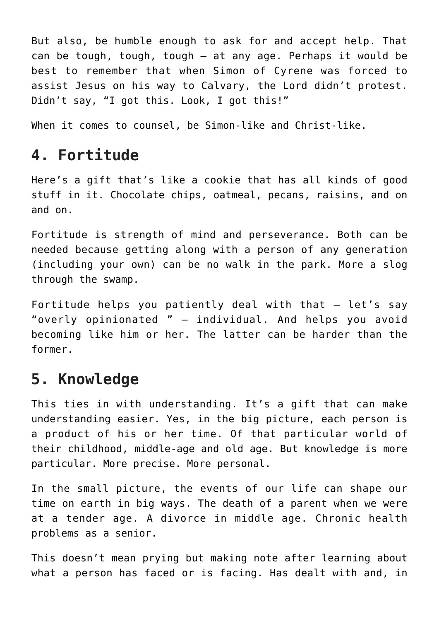But also, be humble enough to ask for and accept help. That can be tough, tough, tough — at any age. Perhaps it would be best to remember that when Simon of Cyrene was forced to assist Jesus on his way to Calvary, the Lord didn't protest. Didn't say, "I got this. Look, I got this!"

When it comes to counsel, be Simon-like and Christ-like.

## **4. Fortitude**

Here's a gift that's like a cookie that has all kinds of good stuff in it. Chocolate chips, oatmeal, pecans, raisins, and on and on.

Fortitude is strength of mind and perseverance. Both can be needed because getting along with a person of any generation (including your own) can be no walk in the park. More a slog through the swamp.

Fortitude helps you patiently deal with that  $-$  let's say "overly opinionated " — individual. And helps you avoid becoming like him or her. The latter can be harder than the former.

### **5. Knowledge**

This ties in with understanding. It's a gift that can make understanding easier. Yes, in the big picture, each person is a product of his or her time. Of that particular world of their childhood, middle-age and old age. But knowledge is more particular. More precise. More personal.

In the small picture, the events of our life can shape our time on earth in big ways. The death of a parent when we were at a tender age. A divorce in middle age. Chronic health problems as a senior.

This doesn't mean prying but making note after learning about what a person has faced or is facing. Has dealt with and, in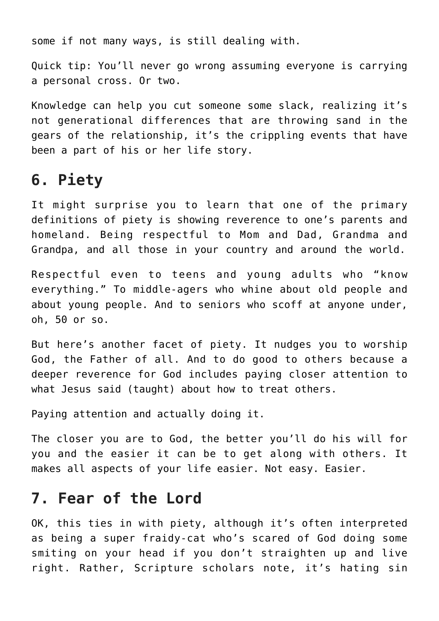some if not many ways, is still dealing with.

Quick tip: You'll never go wrong assuming everyone is carrying a personal cross. Or two.

Knowledge can help you cut someone some slack, realizing it's not generational differences that are throwing sand in the gears of the relationship, it's the crippling events that have been a part of his or her life story.

### **6. Piety**

It might surprise you to learn that one of the primary definitions of piety is showing reverence to one's parents and homeland. Being respectful to Mom and Dad, Grandma and Grandpa, and all those in your country and around the world.

Respectful even to teens and young adults who "know everything." To middle-agers who whine about old people and about young people. And to seniors who scoff at anyone under, oh, 50 or so.

But here's another facet of piety. It nudges you to worship God, the Father of all. And to do good to others because a deeper reverence for God includes paying closer attention to what Jesus said (taught) about how to treat others.

Paying attention and actually doing it.

The closer you are to God, the better you'll do his will for you and the easier it can be to get along with others. It makes all aspects of your life easier. Not easy. Easier.

#### **7. Fear of the Lord**

OK, this ties in with piety, although it's often interpreted as being a super fraidy-cat who's scared of God doing some smiting on your head if you don't straighten up and live right. Rather, Scripture scholars note, it's hating sin